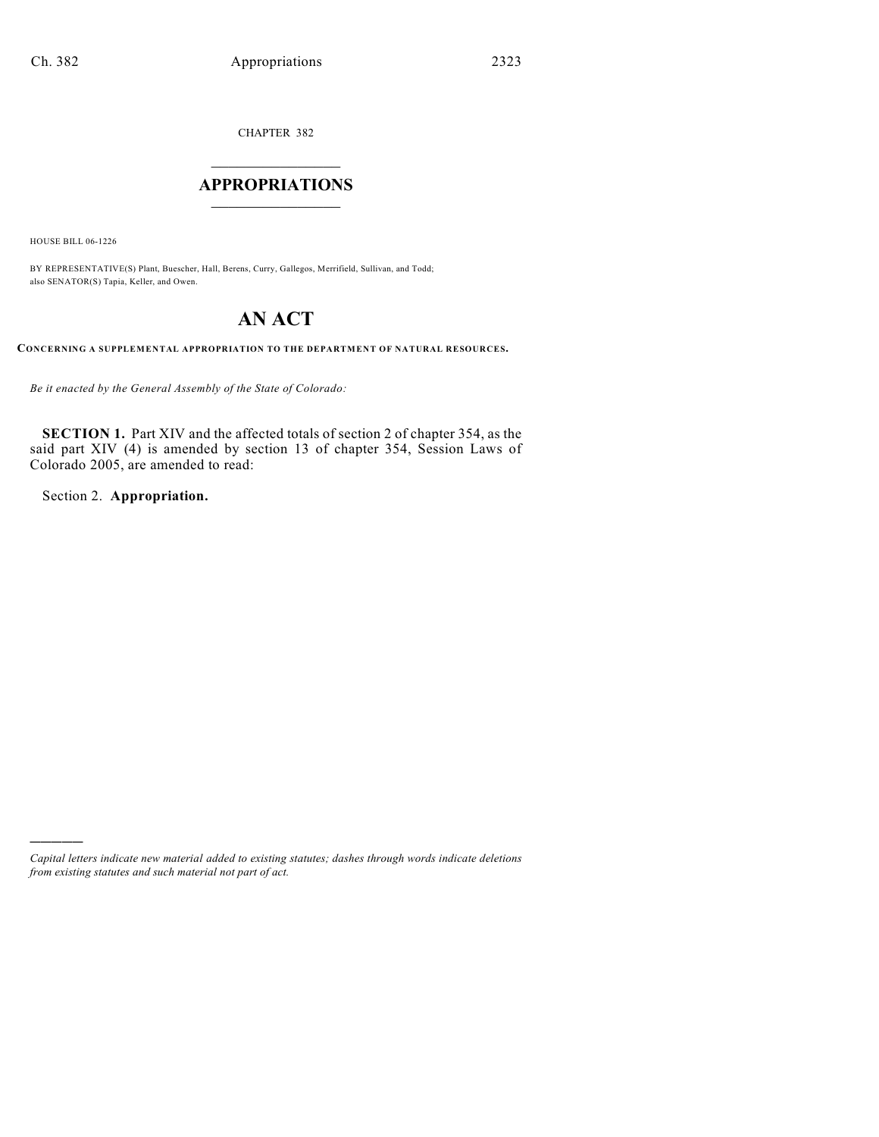CHAPTER 382

# $\mathcal{L}_\text{max}$  . The set of the set of the set of the set of the set of the set of the set of the set of the set of the set of the set of the set of the set of the set of the set of the set of the set of the set of the set **APPROPRIATIONS**  $\_$   $\_$   $\_$   $\_$   $\_$   $\_$   $\_$   $\_$

HOUSE BILL 06-1226

)))))

BY REPRESENTATIVE(S) Plant, Buescher, Hall, Berens, Curry, Gallegos, Merrifield, Sullivan, and Todd; also SENATOR(S) Tapia, Keller, and Owen.

# **AN ACT**

**CONCERNING A SUPPLEMENTAL APPROPRIATION TO THE DEPARTMENT OF NATURAL RESOURCES.**

*Be it enacted by the General Assembly of the State of Colorado:*

**SECTION 1.** Part XIV and the affected totals of section 2 of chapter 354, as the said part XIV (4) is amended by section 13 of chapter 354, Session Laws of Colorado 2005, are amended to read:

Section 2. **Appropriation.**

*Capital letters indicate new material added to existing statutes; dashes through words indicate deletions from existing statutes and such material not part of act.*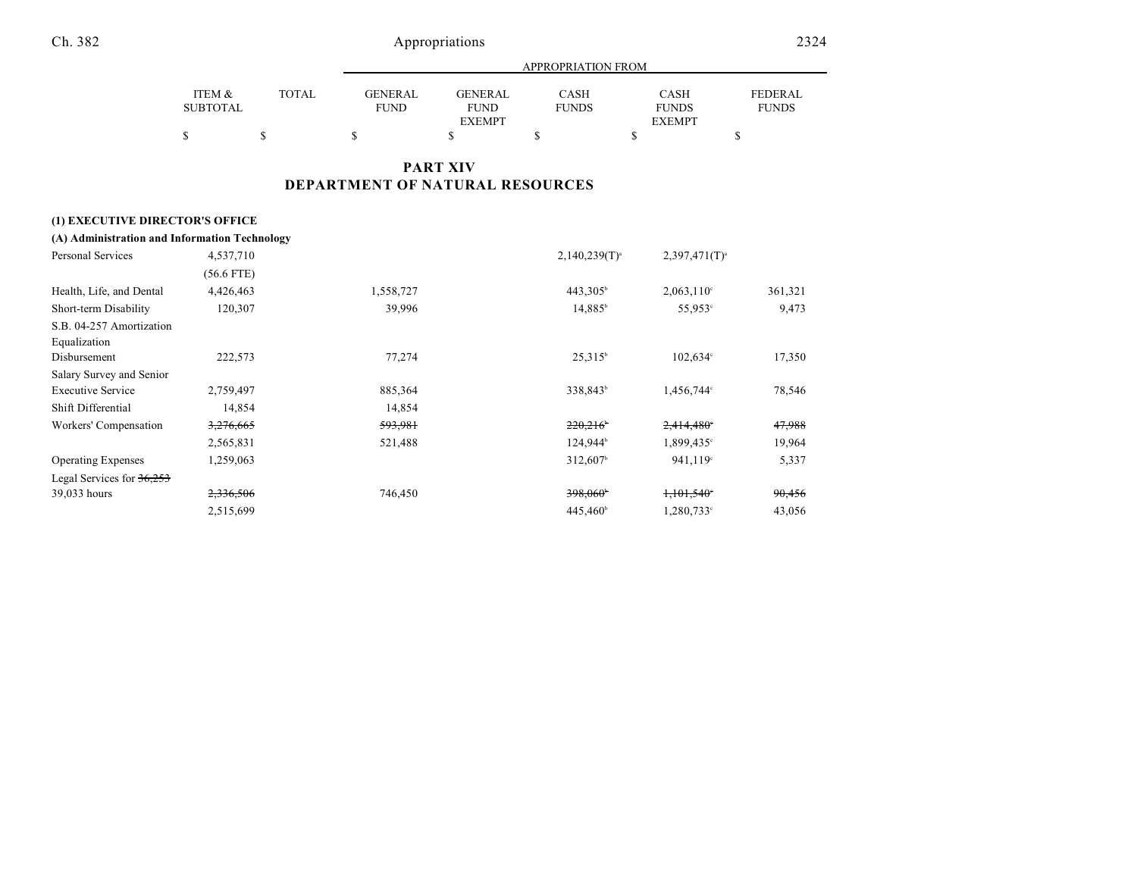|                 |              |                | APPROPRIATION FROM |              |               |              |  |  |
|-----------------|--------------|----------------|--------------------|--------------|---------------|--------------|--|--|
| ITEM &          | <b>TOTAL</b> | <b>GENERAL</b> | GENERAL            | <b>CASH</b>  | <b>CASH</b>   | FEDERAL      |  |  |
| <b>SUBTOTAL</b> |              | <b>FUND</b>    | <b>FUND</b>        | <b>FUNDS</b> | <b>FUNDS</b>  | <b>FUNDS</b> |  |  |
|                 |              |                | <b>EXEMPT</b>      |              | <b>EXEMPT</b> |              |  |  |
|                 |              |                |                    |              |               |              |  |  |

# **PART XIV DEPARTMENT OF NATURAL RESOURCES**

# **(1) EXECUTIVE DIRECTOR'S OFFICE**

| (A) Administration and Information Technology |  |
|-----------------------------------------------|--|
|-----------------------------------------------|--|

| Personal Services           | 4,537,710    |           | $2,140,239(T)^{a}$   | $2,397,471(T)^{3}$  |         |
|-----------------------------|--------------|-----------|----------------------|---------------------|---------|
|                             | $(56.6$ FTE) |           |                      |                     |         |
| Health, Life, and Dental    | 4,426,463    | 1,558,727 | $443,305^{\circ}$    | $2,063,110^{\circ}$ | 361,321 |
| Short-term Disability       | 120,307      | 39,996    | $14,885^{\circ}$     | 55,953°             | 9,473   |
| S.B. 04-257 Amortization    |              |           |                      |                     |         |
| Equalization                |              |           |                      |                     |         |
| Disbursement                | 222,573      | 77,274    | $25.315^b$           | $102,634^{\circ}$   | 17,350  |
| Salary Survey and Senior    |              |           |                      |                     |         |
| <b>Executive Service</b>    | 2,759,497    | 885,364   | 338,843 <sup>b</sup> | 1,456,744°          | 78,546  |
| Shift Differential          | 14,854       | 14,854    |                      |                     |         |
| Workers' Compensation       | 3,276,665    | 593,981   | 220,216              | $2,414,480^\circ$   | 47,988  |
|                             | 2,565,831    | 521,488   | 124,944 <sup>b</sup> | 1,899,435°          | 19,964  |
| <b>Operating Expenses</b>   | 1,259,063    |           | 312,607 <sup>b</sup> | 941.119°            | 5,337   |
| Legal Services for $36,253$ |              |           |                      |                     |         |
| 39,033 hours                | 2,336,506    | 746,450   | 398,060*             | 1,101,540           | 90,456  |
|                             | 2,515,699    |           | 445,460 <sup>b</sup> | 1,280,733°          | 43,056  |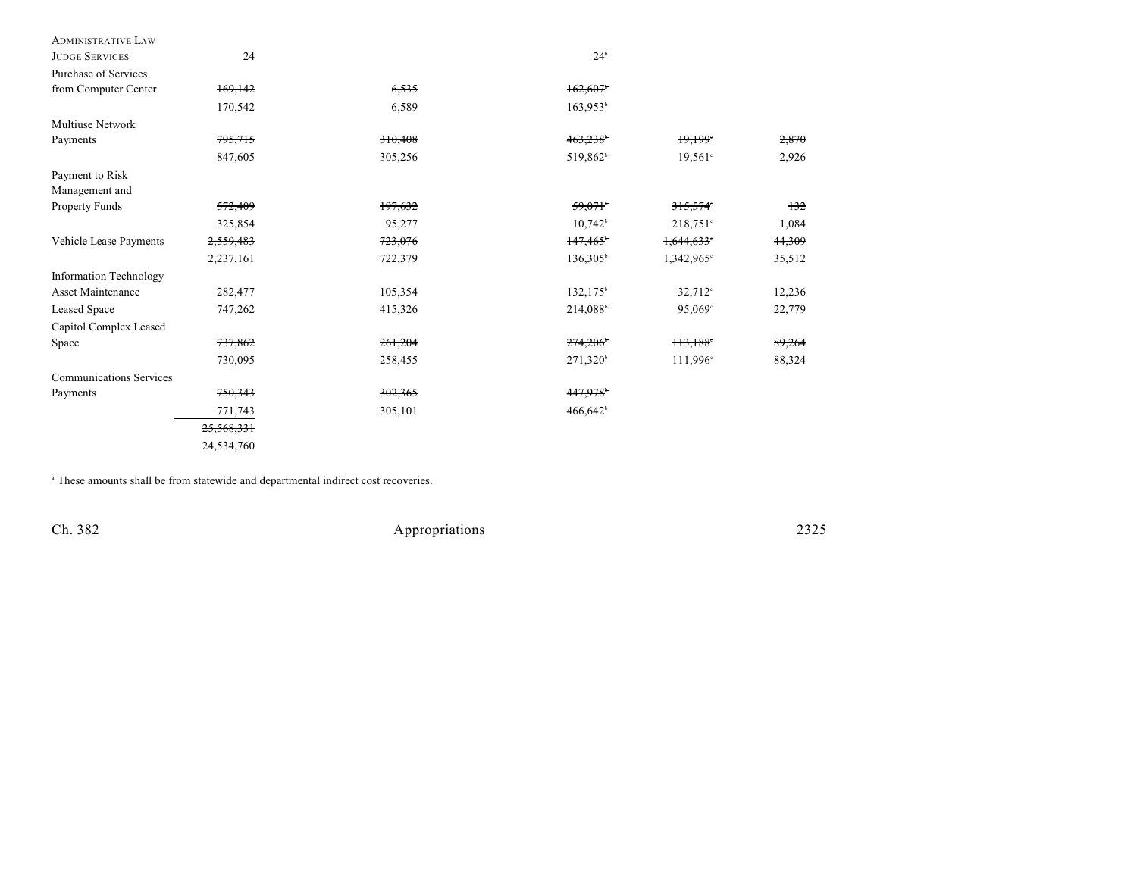| <b>ADMINISTRATIVE LAW</b>      |            |         |                      |                        |        |
|--------------------------------|------------|---------|----------------------|------------------------|--------|
| <b>JUDGE SERVICES</b>          | 24         |         | $24^b$               |                        |        |
| Purchase of Services           |            |         |                      |                        |        |
| from Computer Center           | 169,142    | 6,535   | 162,607              |                        |        |
|                                | 170,542    | 6,589   | $163,953^{\circ}$    |                        |        |
| Multiuse Network               |            |         |                      |                        |        |
| Payments                       | 795,715    | 310,408 | 463,238              | 19,199                 | 2,870  |
|                                | 847,605    | 305,256 | 519,862 <sup>b</sup> | $19,561$ °             | 2,926  |
| Payment to Risk                |            |         |                      |                        |        |
| Management and                 |            |         |                      |                        |        |
| Property Funds                 | 572,409    | 197,632 | 59,071               | 315,574                | 132    |
|                                | 325,854    | 95,277  | $10.742^b$           | $218,751^{\circ}$      | 1,084  |
| Vehicle Lease Payments         | 2,559,483  | 723,076 | 147,465              | 1,644,633              | 44,309 |
|                                | 2,237,161  | 722,379 | $136,305^{\circ}$    | $1,342,965$ °          | 35,512 |
| <b>Information Technology</b>  |            |         |                      |                        |        |
| <b>Asset Maintenance</b>       | 282,477    | 105,354 | $132, 175^{\circ}$   | $32,712$ <sup>c</sup>  | 12,236 |
| Leased Space                   | 747,262    | 415,326 | 214,088              | 95,069°                | 22,779 |
| Capitol Complex Leased         |            |         |                      |                        |        |
| Space                          | 737,862    | 261,204 | 274,206              | $113,188$ <sup>*</sup> | 89,264 |
|                                | 730,095    | 258,455 | $271,320^{\circ}$    | 111,996 <sup>c</sup>   | 88,324 |
| <b>Communications Services</b> |            |         |                      |                        |        |
| Payments                       | 750,343    | 302,365 | 447,978              |                        |        |
|                                | 771,743    | 305,101 | 466,642 <sup>b</sup> |                        |        |
|                                | 25,568,331 |         |                      |                        |        |
|                                | 24,534,760 |         |                      |                        |        |

These amounts shall be from statewide and departmental indirect cost recoveries. a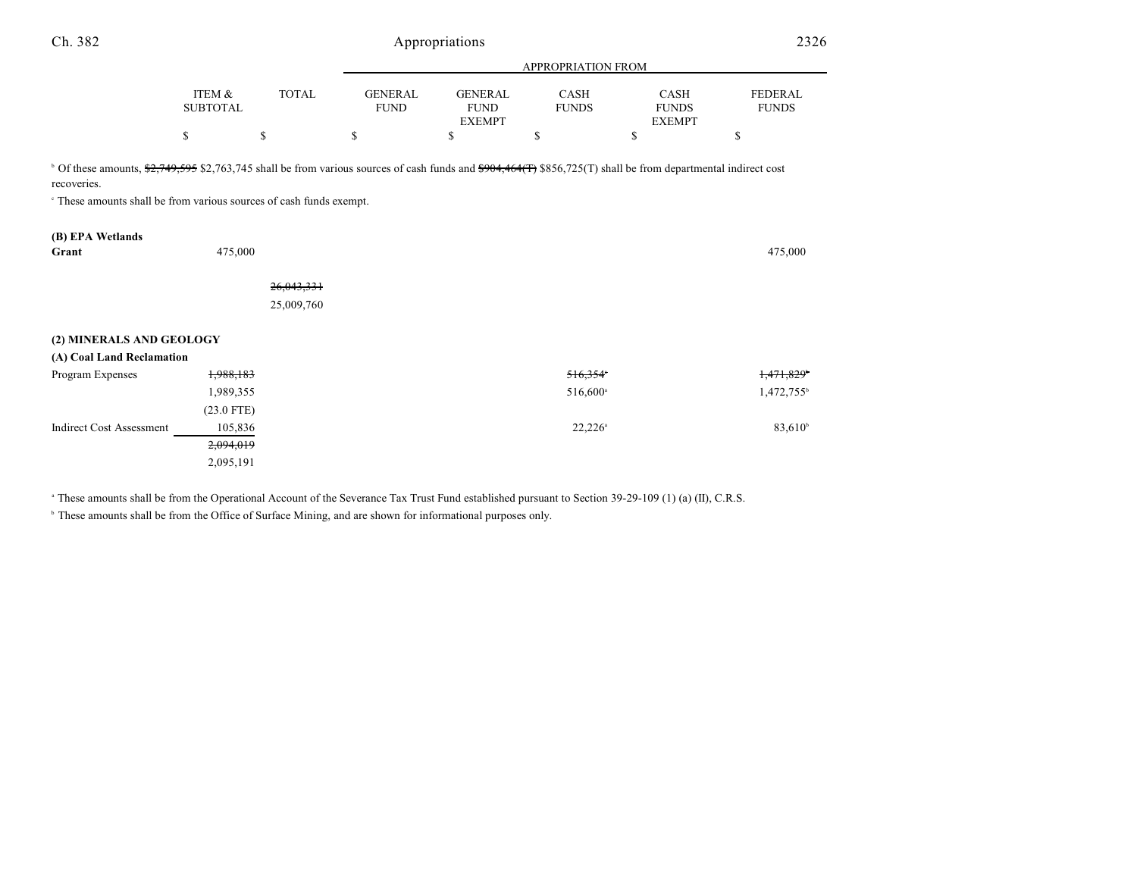| Ch. 382                                                                                                                                                                                                                                                                    |                           |              | Appropriations                |                                                |                             |                                       |                                |
|----------------------------------------------------------------------------------------------------------------------------------------------------------------------------------------------------------------------------------------------------------------------------|---------------------------|--------------|-------------------------------|------------------------------------------------|-----------------------------|---------------------------------------|--------------------------------|
|                                                                                                                                                                                                                                                                            |                           |              |                               |                                                |                             |                                       |                                |
|                                                                                                                                                                                                                                                                            | ITEM &<br><b>SUBTOTAL</b> | <b>TOTAL</b> | <b>GENERAL</b><br><b>FUND</b> | <b>GENERAL</b><br><b>FUND</b><br><b>EXEMPT</b> | <b>CASH</b><br><b>FUNDS</b> | CASH<br><b>FUNDS</b><br><b>EXEMPT</b> | <b>FEDERAL</b><br><b>FUNDS</b> |
|                                                                                                                                                                                                                                                                            | \$                        | \$           | \$                            | \$                                             | \$                          | \$                                    | \$                             |
| <sup>b</sup> Of these amounts, \$2,749,595 \$2,763,745 shall be from various sources of cash funds and \$904,464(T) \$856,725(T) shall be from departmental indirect cost<br>recoveries.<br><sup>c</sup> These amounts shall be from various sources of cash funds exempt. |                           |              |                               |                                                |                             |                                       |                                |
| (B) EPA Wetlands                                                                                                                                                                                                                                                           |                           |              |                               |                                                |                             |                                       |                                |
| Grant                                                                                                                                                                                                                                                                      | 475,000                   |              |                               |                                                |                             |                                       | 475,000                        |
|                                                                                                                                                                                                                                                                            |                           | 26,043,331   |                               |                                                |                             |                                       |                                |
|                                                                                                                                                                                                                                                                            |                           | 25,009,760   |                               |                                                |                             |                                       |                                |
| (2) MINERALS AND GEOLOGY                                                                                                                                                                                                                                                   |                           |              |                               |                                                |                             |                                       |                                |
| (A) Coal Land Reclamation                                                                                                                                                                                                                                                  |                           |              |                               |                                                |                             |                                       |                                |
| Program Expenses                                                                                                                                                                                                                                                           | 1,988,183                 |              |                               |                                                | 516,354                     |                                       | 1,471,829 <sup>*</sup>         |
|                                                                                                                                                                                                                                                                            | 1,989,355                 |              |                               |                                                | 516,600 <sup>a</sup>        |                                       | 1,472,755 <sup>b</sup>         |
|                                                                                                                                                                                                                                                                            | $(23.0$ FTE)              |              |                               |                                                |                             |                                       |                                |
| <b>Indirect Cost Assessment</b>                                                                                                                                                                                                                                            | 105,836                   |              |                               |                                                | $22,226^{\circ}$            |                                       | $83,610^{b}$                   |
|                                                                                                                                                                                                                                                                            | 2,094,019                 |              |                               |                                                |                             |                                       |                                |
|                                                                                                                                                                                                                                                                            | 2,095,191                 |              |                               |                                                |                             |                                       |                                |

<sup>a</sup> These amounts shall be from the Operational Account of the Severance Tax Trust Fund established pursuant to Section 39-29-109 (1) (a) (II), C.R.S.

**b** These amounts shall be from the Office of Surface Mining, and are shown for informational purposes only.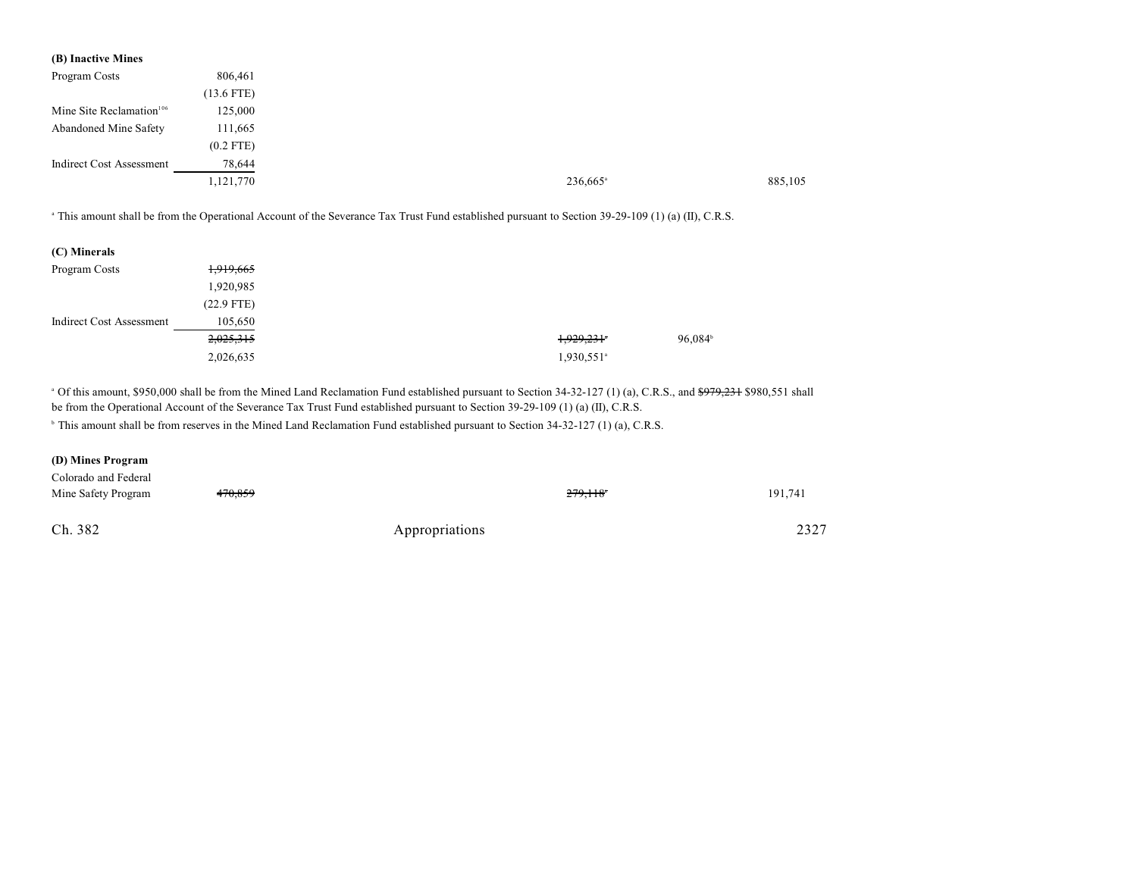| (B) Inactive Mines                   |              |
|--------------------------------------|--------------|
| Program Costs                        | 806,461      |
|                                      | $(13.6$ FTE) |
| Mine Site Reclamation <sup>106</sup> | 125,000      |
| Abandoned Mine Safety                | 111,665      |
|                                      | $(0.2$ FTE)  |
| <b>Indirect Cost Assessment</b>      | 78,644       |
|                                      | 1,121,770    |

<sup>a</sup> This amount shall be from the Operational Account of the Severance Tax Trust Fund established pursuant to Section 39-29-109 (1) (a) (II), C.R.S.

| (C) Minerals             |              |
|--------------------------|--------------|
| Program Costs            | 1,919,665    |
|                          | 1,920,985    |
|                          | $(22.9$ FTE) |
| Indirect Cost Assessment | 105,650      |
|                          | 2,025,315    |
|                          | 2,026,635    |

<sup>a</sup> Of this amount, \$950,000 shall be from the Mined Land Reclamation Fund established pursuant to Section 34-32-127 (1) (a), C.R.S., and <del>\$979,231</del> \$980,551 shall be from the Operational Account of the Severance Tax Trust Fund established pursuant to Section 39-29-109 (1) (a) (II), C.R.S.

<sup>b</sup> This amount shall be from reserves in the Mined Land Reclamation Fund established pursuant to Section 34-32-127 (1) (a), C.R.S.

### **(D) Mines Program**

| Colorado and Federal |                    |                |         |         |
|----------------------|--------------------|----------------|---------|---------|
| Mine Safety Program  | <del>470,859</del> |                | 279.118 | 191,741 |
|                      |                    |                |         |         |
| Ch. 382              |                    | Appropriations |         | 2327    |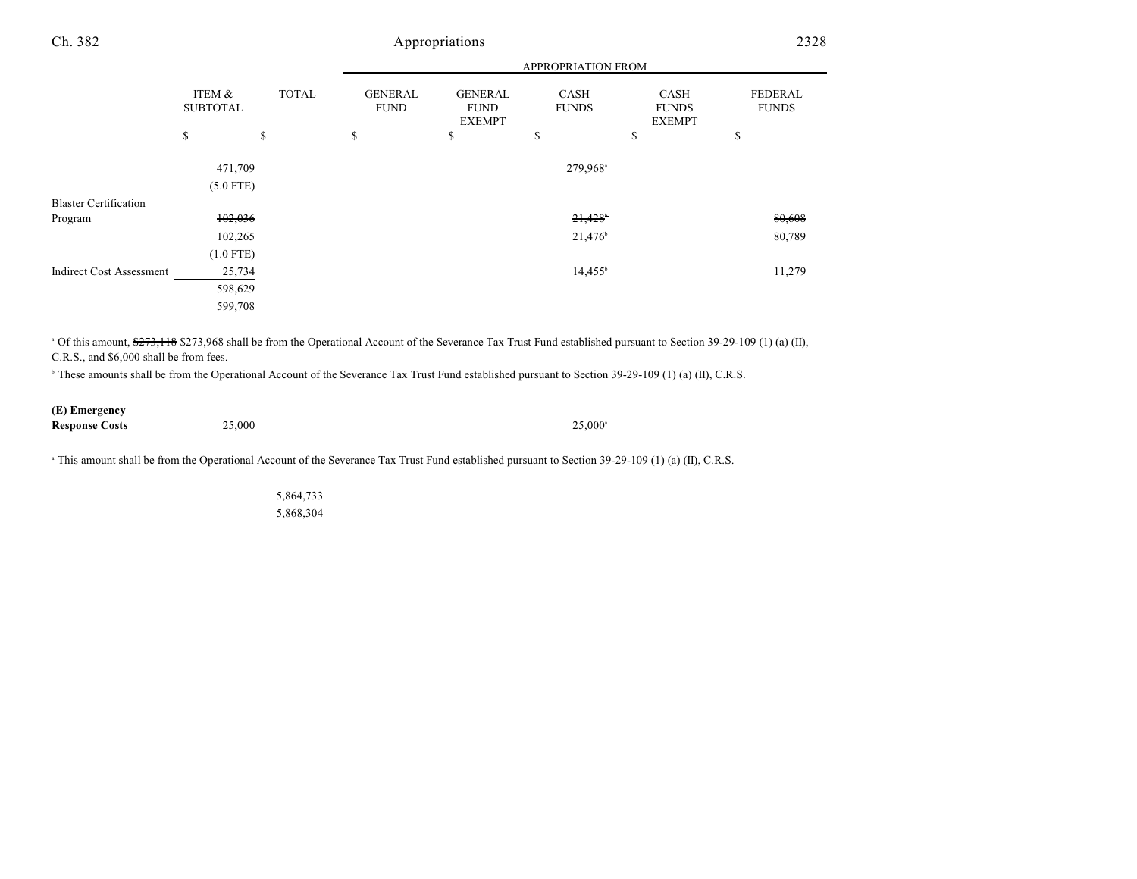|                                 |                           |              | APPROPRIATION FROM            |                                                |                       |                                       |                         |
|---------------------------------|---------------------------|--------------|-------------------------------|------------------------------------------------|-----------------------|---------------------------------------|-------------------------|
|                                 | ITEM &<br><b>SUBTOTAL</b> | <b>TOTAL</b> | <b>GENERAL</b><br><b>FUND</b> | <b>GENERAL</b><br><b>FUND</b><br><b>EXEMPT</b> | CASH<br><b>FUNDS</b>  | CASH<br><b>FUNDS</b><br><b>EXEMPT</b> | FEDERAL<br><b>FUNDS</b> |
|                                 | \$                        | \$           | \$                            | \$                                             | \$                    | \$                                    | \$                      |
|                                 | 471,709<br>$(5.0$ FTE)    |              |                               |                                                | 279,968 <sup>a</sup>  |                                       |                         |
| <b>Blaster Certification</b>    |                           |              |                               |                                                |                       |                                       |                         |
| Program                         | 102,036                   |              |                               |                                                | $21,428$ <sup>b</sup> |                                       | 80,608                  |
|                                 | 102,265                   |              |                               |                                                | 21,476 <sup>b</sup>   |                                       | 80,789                  |
|                                 | $(1.0$ FTE)               |              |                               |                                                |                       |                                       |                         |
| <b>Indirect Cost Assessment</b> | 25,734                    |              |                               |                                                | $14,455^{\circ}$      |                                       | 11,279                  |
|                                 | 598,629                   |              |                               |                                                |                       |                                       |                         |
|                                 | 599,708                   |              |                               |                                                |                       |                                       |                         |

<sup>a</sup> Of this amount, \$273,118 \$273,968 shall be from the Operational Account of the Severance Tax Trust Fund established pursuant to Section 39-29-109 (1) (a) (II), C.R.S., and \$6,000 shall be from fees.

<sup>b</sup> These amounts shall be from the Operational Account of the Severance Tax Trust Fund established pursuant to Section 39-29-109 (1) (a) (II), C.R.S.

## **(E) Emergency**

**Response Costs** 25,000<sup>a</sup> 25,000<sup>a</sup> 25,000<sup>a</sup>

<sup>a</sup> This amount shall be from the Operational Account of the Severance Tax Trust Fund established pursuant to Section 39-29-109 (1) (a) (II), C.R.S.

5,864,733 5,868,304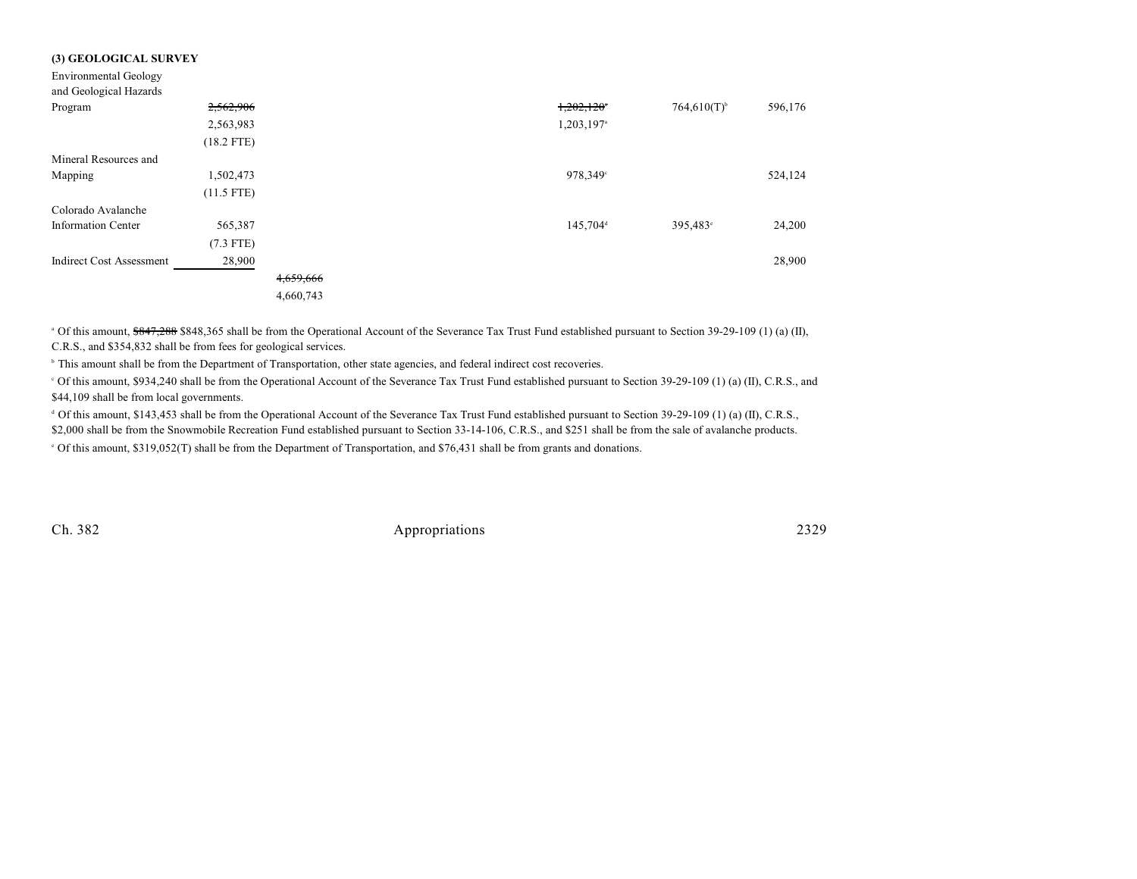| (3) GEOLOGICAL SURVEY           |              |           |  |                        |                           |         |
|---------------------------------|--------------|-----------|--|------------------------|---------------------------|---------|
| <b>Environmental Geology</b>    |              |           |  |                        |                           |         |
| and Geological Hazards          |              |           |  |                        |                           |         |
| Program                         | 2,562,906    |           |  | 1,202,120              | $764,610(T)$ <sup>b</sup> | 596,176 |
|                                 | 2,563,983    |           |  | 1,203,197 <sup>a</sup> |                           |         |
|                                 | $(18.2$ FTE) |           |  |                        |                           |         |
| Mineral Resources and           |              |           |  |                        |                           |         |
| Mapping                         | 1,502,473    |           |  | 978,349°               |                           | 524,124 |
|                                 | $(11.5$ FTE) |           |  |                        |                           |         |
| Colorado Avalanche              |              |           |  |                        |                           |         |
| <b>Information Center</b>       | 565,387      |           |  | 145,704 <sup>d</sup>   | 395,483°                  | 24,200  |
|                                 | $(7.3$ FTE)  |           |  |                        |                           |         |
| <b>Indirect Cost Assessment</b> | 28,900       |           |  |                        |                           | 28,900  |
|                                 |              | 4,659,666 |  |                        |                           |         |
|                                 |              | 4,660,743 |  |                        |                           |         |

<sup>a</sup> Of this amount, \$847,288 \$848,365 shall be from the Operational Account of the Severance Tax Trust Fund established pursuant to Section 39-29-109 (1) (a) (II), C.R.S., and \$354,832 shall be from fees for geological services.

<sup>b</sup> This amount shall be from the Department of Transportation, other state agencies, and federal indirect cost recoveries.

 $\rm{^6}$  Of this amount, \$934,240 shall be from the Operational Account of the Severance Tax Trust Fund established pursuant to Section 39-29-109 (1) (a) (II), C.R.S., and \$44,109 shall be from local governments.

 Of this amount, \$143,453 shall be from the Operational Account of the Severance Tax Trust Fund established pursuant to Section 39-29-109 (1) (a) (II), C.R.S., <sup>d</sup> \$2,000 shall be from the Snowmobile Recreation Fund established pursuant to Section 33-14-106, C.R.S., and \$251 shall be from the sale of avalanche products.

Of this amount, \$319,052(T) shall be from the Department of Transportation, and \$76,431 shall be from grants and donations. <sup>e</sup>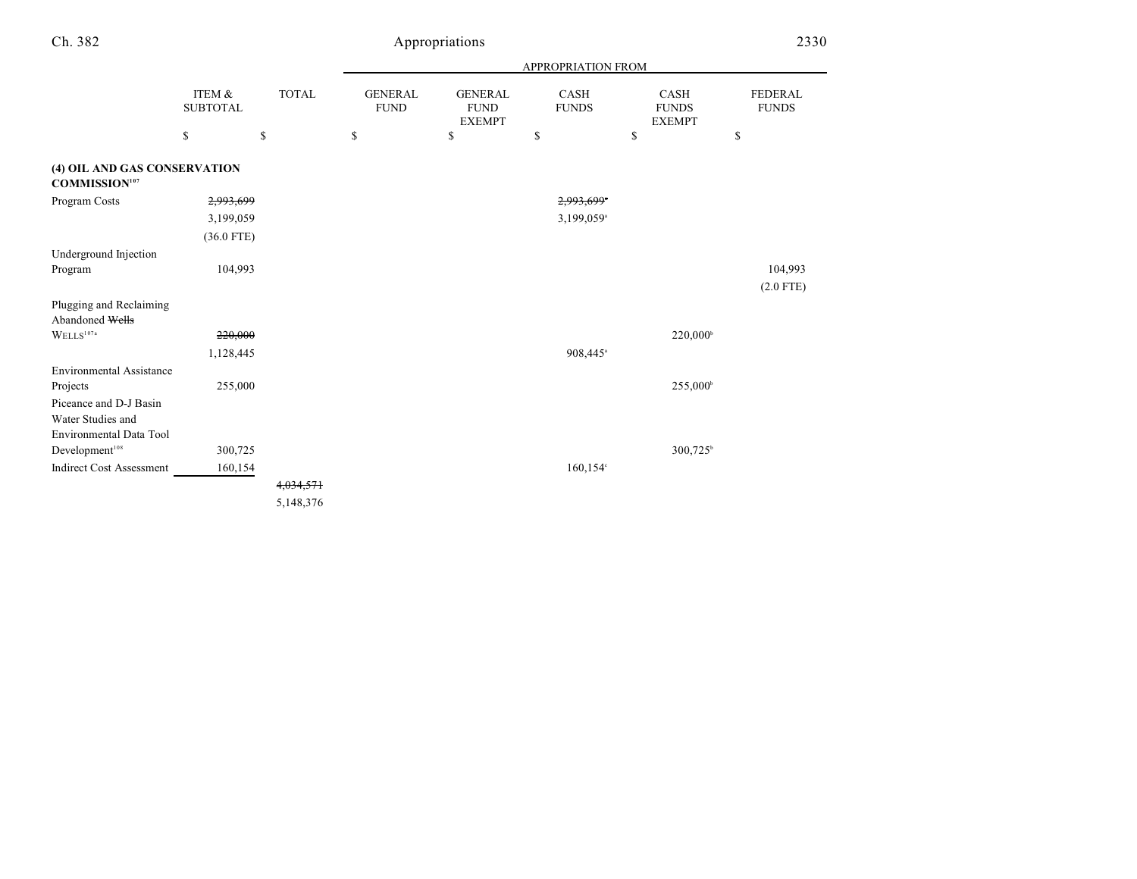|                                                      |                           |                      |                               |                                                | APPROPRIATION FROM     |                                       |                         |
|------------------------------------------------------|---------------------------|----------------------|-------------------------------|------------------------------------------------|------------------------|---------------------------------------|-------------------------|
|                                                      | ITEM &<br><b>SUBTOTAL</b> | <b>TOTAL</b>         | <b>GENERAL</b><br><b>FUND</b> | <b>GENERAL</b><br><b>FUND</b><br><b>EXEMPT</b> | CASH<br><b>FUNDS</b>   | CASH<br><b>FUNDS</b><br><b>EXEMPT</b> | FEDERAL<br><b>FUNDS</b> |
|                                                      | \$                        | \$                   | \$                            | \$                                             | \$                     | \$                                    | \$                      |
| (4) OIL AND GAS CONSERVATION<br><b>COMMISSION107</b> |                           |                      |                               |                                                |                        |                                       |                         |
| Program Costs                                        | 2,993,699                 |                      |                               |                                                | 2,993,699*             |                                       |                         |
|                                                      | 3,199,059                 |                      |                               |                                                | 3,199,059 <sup>a</sup> |                                       |                         |
|                                                      | $(36.0$ FTE)              |                      |                               |                                                |                        |                                       |                         |
| Underground Injection                                |                           |                      |                               |                                                |                        |                                       |                         |
| Program                                              | 104,993                   |                      |                               |                                                |                        |                                       | 104,993                 |
|                                                      |                           |                      |                               |                                                |                        |                                       | $(2.0$ FTE)             |
| Plugging and Reclaiming                              |                           |                      |                               |                                                |                        |                                       |                         |
| Abandoned Wells                                      |                           |                      |                               |                                                |                        |                                       |                         |
| $WELLS^{107a}$                                       | 220,000                   |                      |                               |                                                |                        | $220,000^{\circ}$                     |                         |
|                                                      | 1,128,445                 |                      |                               |                                                | 908,445 <sup>a</sup>   |                                       |                         |
| <b>Environmental Assistance</b>                      |                           |                      |                               |                                                |                        |                                       |                         |
| Projects                                             | 255,000                   |                      |                               |                                                |                        | 255,000 <sup>b</sup>                  |                         |
| Piceance and D-J Basin                               |                           |                      |                               |                                                |                        |                                       |                         |
| Water Studies and                                    |                           |                      |                               |                                                |                        |                                       |                         |
| <b>Environmental Data Tool</b>                       |                           |                      |                               |                                                |                        |                                       |                         |
| Development <sup>108</sup>                           | 300,725                   |                      |                               |                                                |                        | 300,725 <sup>b</sup>                  |                         |
| <b>Indirect Cost Assessment</b>                      | 160,154                   |                      |                               |                                                | $160, 154$ °           |                                       |                         |
|                                                      |                           | <del>4,034,571</del> |                               |                                                |                        |                                       |                         |
|                                                      |                           | 5,148,376            |                               |                                                |                        |                                       |                         |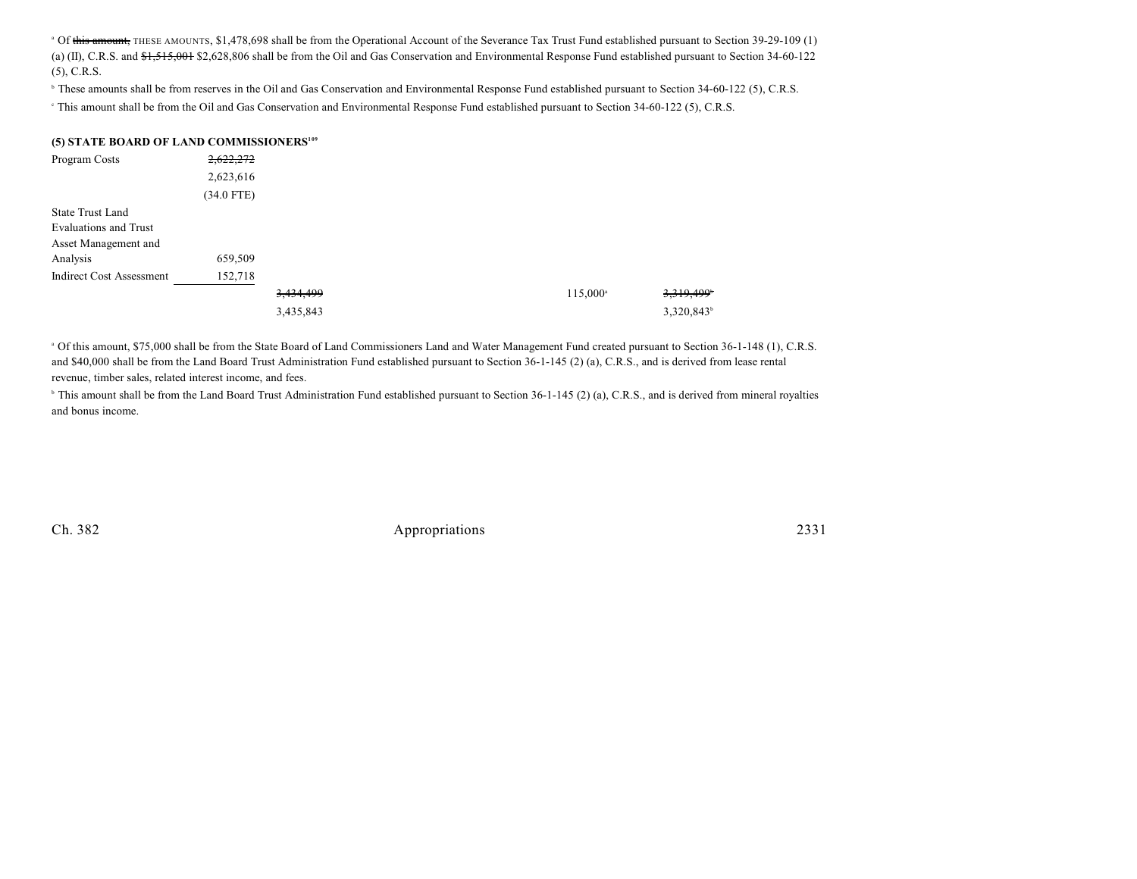<sup>a</sup> Of this amount, THESE AMOUNTS, \$1,478,698 shall be from the Operational Account of the Severance Tax Trust Fund established pursuant to Section 39-29-109 (1) (a) (II), C.R.S. and  $\frac{4.515,001}{12}$  \$2,628,806 shall be from the Oil and Gas Conservation and Environmental Response Fund established pursuant to Section 34-60-122 (5), C.R.S.

<sup>h</sup> These amounts shall be from reserves in the Oil and Gas Conservation and Environmental Response Fund established pursuant to Section 34-60-122 (5), C.R.S.

This amount shall be from the Oil and Gas Conservation and Environmental Response Fund established pursuant to Section 34-60-122 (5), C.R.S.

#### **(5) STATE BOARD OF LAND COMMISSIONERS<sup>109</sup>**

| Program Costs                   | 2,622,272    |           |                   |                        |
|---------------------------------|--------------|-----------|-------------------|------------------------|
|                                 | 2,623,616    |           |                   |                        |
|                                 | $(34.0$ FTE) |           |                   |                        |
| State Trust Land                |              |           |                   |                        |
| <b>Evaluations and Trust</b>    |              |           |                   |                        |
| Asset Management and            |              |           |                   |                        |
| Analysis                        | 659,509      |           |                   |                        |
| <b>Indirect Cost Assessment</b> | 152,718      |           |                   |                        |
|                                 |              | 3,434,499 | $115,000^{\circ}$ | 3,319,499 <sup>+</sup> |
|                                 |              | 3,435,843 |                   | 3,320,843 <sup>b</sup> |
|                                 |              |           |                   |                        |

<sup>a</sup> Of this amount, \$75,000 shall be from the State Board of Land Commissioners Land and Water Management Fund created pursuant to Section 36-1-148 (1), C.R.S. and \$40,000 shall be from the Land Board Trust Administration Fund established pursuant to Section 36-1-145 (2) (a), C.R.S., and is derived from lease rental revenue, timber sales, related interest income, and fees.

<sup>b</sup> This amount shall be from the Land Board Trust Administration Fund established pursuant to Section 36-1-145 (2) (a), C.R.S., and is derived from mineral royalties and bonus income.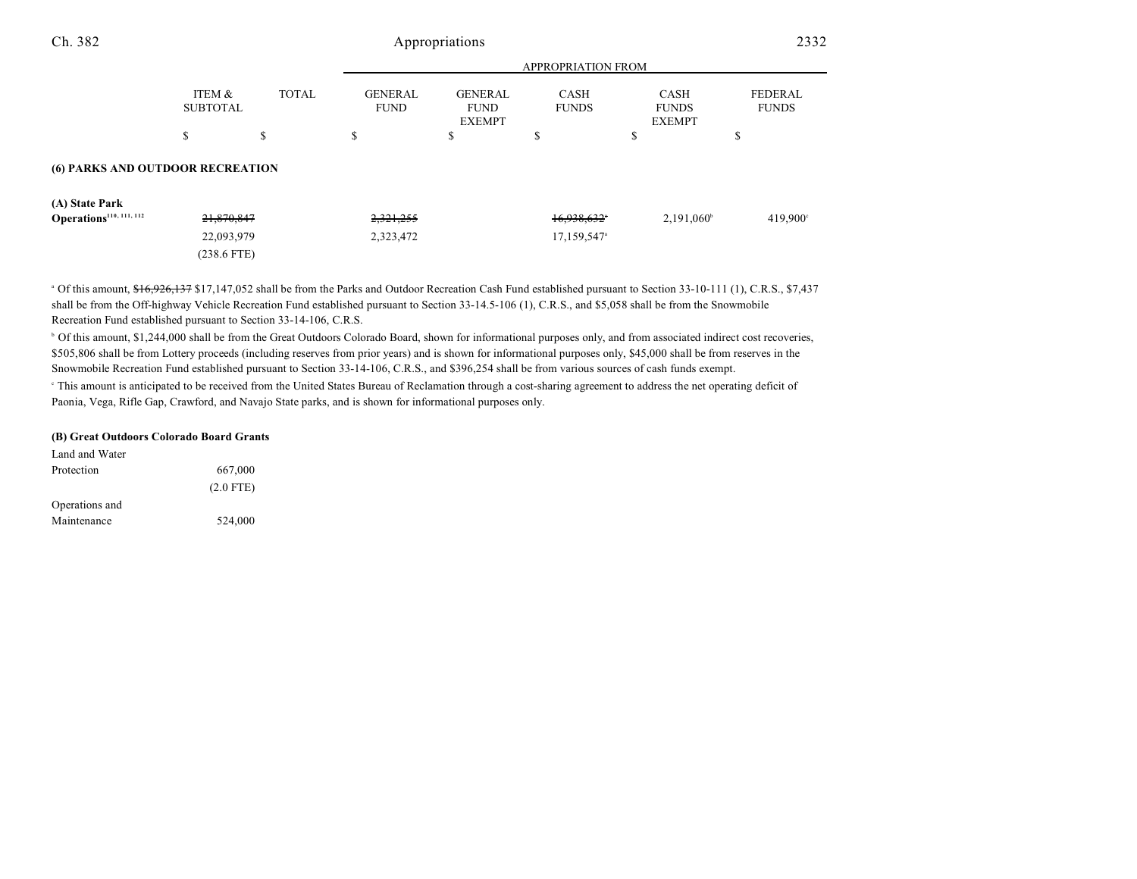| Ch. 382                             |                           |              |                               | Appropriations                                 |                             |                                       | 2332                           |
|-------------------------------------|---------------------------|--------------|-------------------------------|------------------------------------------------|-----------------------------|---------------------------------------|--------------------------------|
|                                     |                           |              |                               |                                                | APPROPRIATION FROM          |                                       |                                |
|                                     | ITEM &<br><b>SUBTOTAL</b> | <b>TOTAL</b> | <b>GENERAL</b><br><b>FUND</b> | <b>GENERAL</b><br><b>FUND</b><br><b>EXEMPT</b> | <b>CASH</b><br><b>FUNDS</b> | CASH<br><b>FUNDS</b><br><b>EXEMPT</b> | <b>FEDERAL</b><br><b>FUNDS</b> |
|                                     | \$                        | \$           | \$                            | \$                                             | \$                          | \$                                    | \$                             |
| (6) PARKS AND OUTDOOR RECREATION    |                           |              |                               |                                                |                             |                                       |                                |
| (A) State Park                      |                           |              |                               |                                                |                             |                                       |                                |
| Operations <sup>110, 111, 112</sup> | 21,870,847                |              | 2,321,255                     |                                                | 16.938.632*                 | $2,191,060^{\circ}$                   | 419,900°                       |
|                                     | 22,093,979                |              | 2,323,472                     |                                                | 17,159,547 <sup>a</sup>     |                                       |                                |
|                                     | $(238.6$ FTE)             |              |                               |                                                |                             |                                       |                                |

<sup>a</sup> Of this amount, \$16,926,137 \$17,147,052 shall be from the Parks and Outdoor Recreation Cash Fund established pursuant to Section 33-10-111 (1), C.R.S., \$7,437 shall be from the Off-highway Vehicle Recreation Fund established pursuant to Section 33-14.5-106 (1), C.R.S., and \$5,058 shall be from the Snowmobile Recreation Fund established pursuant to Section 33-14-106, C.R.S.

<sup>b</sup> Of this amount, \$1,244,000 shall be from the Great Outdoors Colorado Board, shown for informational purposes only, and from associated indirect cost recoveries, \$505,806 shall be from Lottery proceeds (including reserves from prior years) and is shown for informational purposes only, \$45,000 shall be from reserves in the Snowmobile Recreation Fund established pursuant to Section 33-14-106, C.R.S., and \$396,254 shall be from various sources of cash funds exempt.

<sup>e</sup> This amount is anticipated to be received from the United States Bureau of Reclamation through a cost-sharing agreement to address the net operating deficit of Paonia, Vega, Rifle Gap, Crawford, and Navajo State parks, and is shown for informational purposes only.

#### **(B) Great Outdoors Colorado Board Grants**

| Land and Water |             |
|----------------|-------------|
| Protection     | 667,000     |
|                | $(2.0$ FTE) |
| Operations and |             |
| Maintenance    | 524,000     |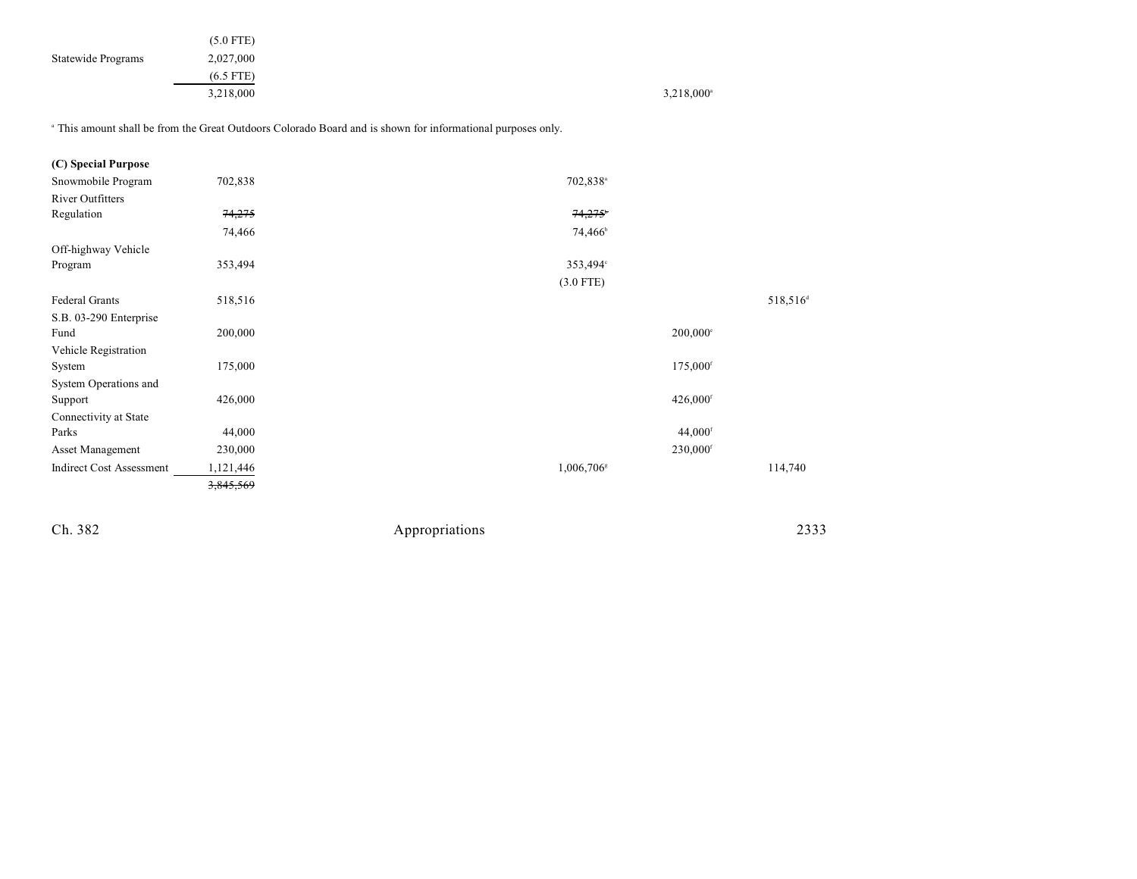|                    | $(5.0$ FTE) |                     |
|--------------------|-------------|---------------------|
| Statewide Programs | 2,027,000   |                     |
|                    | $(6.5$ FTE) |                     |
|                    | 3,218,000   | $3,218,000^{\circ}$ |

<sup>a</sup> This amount shall be from the Great Outdoors Colorado Board and is shown for informational purposes only.

| (C) Special Purpose             |           |                        |                       |                      |
|---------------------------------|-----------|------------------------|-----------------------|----------------------|
| Snowmobile Program              | 702,838   | 702,838 <sup>a</sup>   |                       |                      |
| <b>River Outfitters</b>         |           |                        |                       |                      |
| Regulation                      | 74,275    | 74,275                 |                       |                      |
|                                 | 74,466    | 74,466 <sup>b</sup>    |                       |                      |
| Off-highway Vehicle             |           |                        |                       |                      |
| Program                         | 353,494   | 353,494°               |                       |                      |
|                                 |           | $(3.0$ FTE)            |                       |                      |
| <b>Federal Grants</b>           | 518,516   |                        |                       | 518,516 <sup>d</sup> |
| S.B. 03-290 Enterprise          |           |                        |                       |                      |
| Fund                            | 200,000   |                        | $200,000$ °           |                      |
| Vehicle Registration            |           |                        |                       |                      |
| System                          | 175,000   |                        | 175,000 <sup>f</sup>  |                      |
| System Operations and           |           |                        |                       |                      |
| Support                         | 426,000   |                        | 426,000 <sup>f</sup>  |                      |
| Connectivity at State           |           |                        |                       |                      |
| Parks                           | 44,000    |                        | $44,000$ <sup>f</sup> |                      |
| Asset Management                | 230,000   |                        | 230,000 <sup>f</sup>  |                      |
| <b>Indirect Cost Assessment</b> | 1,121,446 | 1,006,706 <sup>s</sup> |                       | 114,740              |
|                                 | 3,845,569 |                        |                       |                      |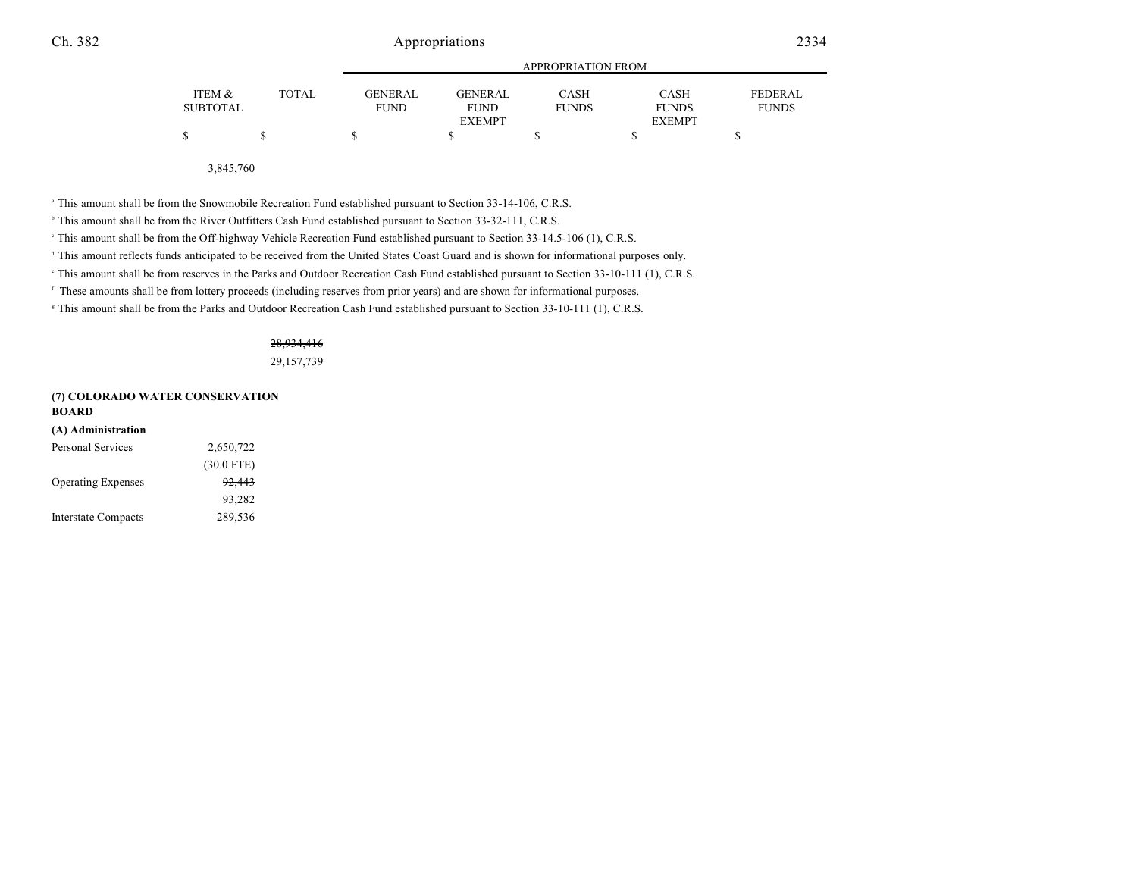|                 |              | APPROPRIATION FROM |                |              |               |                |  |
|-----------------|--------------|--------------------|----------------|--------------|---------------|----------------|--|
| ITEM &          | <b>TOTAL</b> | <b>GENERAL</b>     | <b>GENERAL</b> | CASH         | <b>CASH</b>   | <b>FEDERAL</b> |  |
| <b>SUBTOTAL</b> |              | <b>FUND</b>        | <b>FUND</b>    | <b>FUNDS</b> | <b>FUNDS</b>  | <b>FUNDS</b>   |  |
|                 |              |                    | <b>EXEMPT</b>  |              | <b>EXEMPT</b> |                |  |
| \$              |              |                    |                |              |               |                |  |

3,845,760

<sup>a</sup> This amount shall be from the Snowmobile Recreation Fund established pursuant to Section 33-14-106, C.R.S.

<sup>b</sup> This amount shall be from the River Outfitters Cash Fund established pursuant to Section 33-32-111, C.R.S.

This amount shall be from the Off-highway Vehicle Recreation Fund established pursuant to Section 33-14.5-106 (1), C.R.S. <sup>c</sup>

<sup>d</sup> This amount reflects funds anticipated to be received from the United States Coast Guard and is shown for informational purposes only.

This amount shall be from reserves in the Parks and Outdoor Recreation Cash Fund established pursuant to Section 33-10-111 (1), C.R.S.

These amounts shall be from lottery proceeds (including reserves from prior years) and are shown for informational purposes. <sup>f</sup>

<sup>8</sup> This amount shall be from the Parks and Outdoor Recreation Cash Fund established pursuant to Section 33-10-111 (1), C.R.S.

#### 28,934,416

29,157,739

#### **(7) COLORADO WATER CONSERVATION BOARD**

| (A) Administration         |                   |
|----------------------------|-------------------|
| <b>Personal Services</b>   | 2,650,722         |
|                            | $(30.0$ FTE)      |
| <b>Operating Expenses</b>  | <del>92,443</del> |
|                            | 93,282            |
| <b>Interstate Compacts</b> | 289,536           |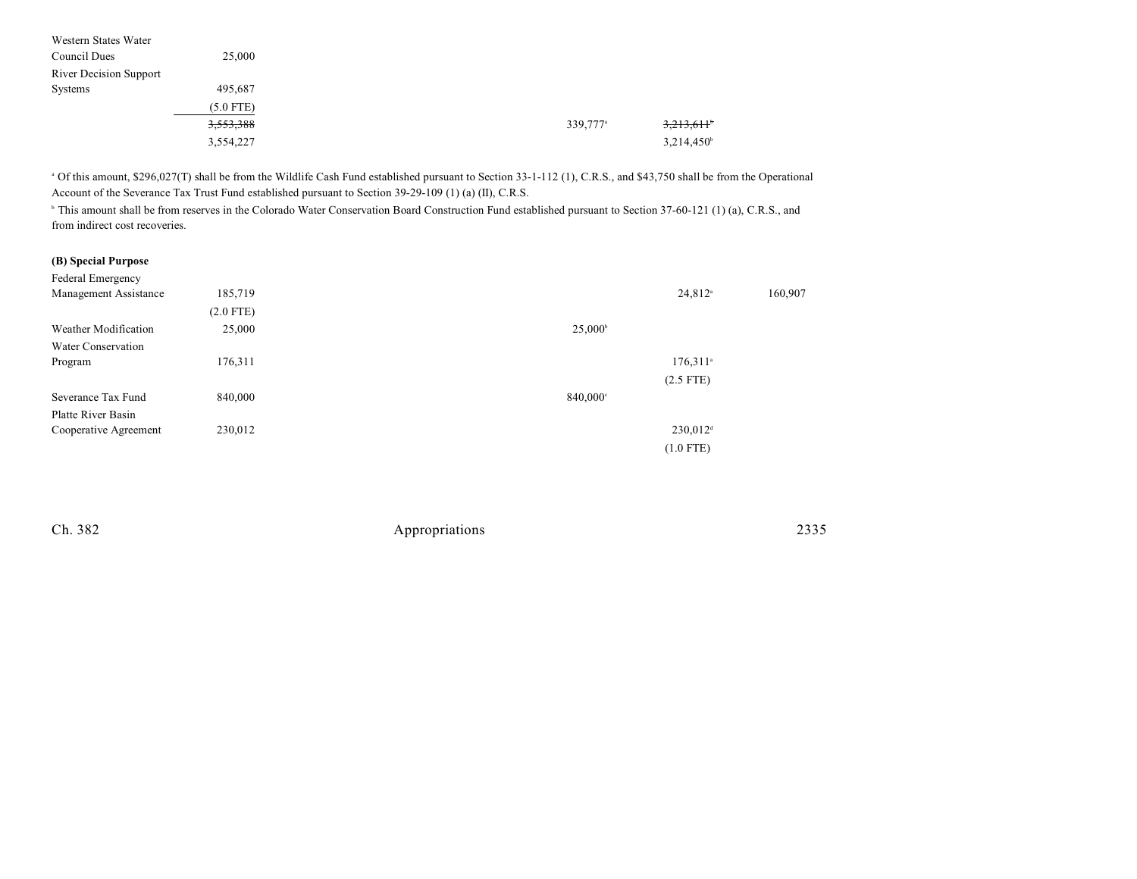| Western States Water          |             |                      |                     |
|-------------------------------|-------------|----------------------|---------------------|
| Council Dues                  | 25,000      |                      |                     |
| <b>River Decision Support</b> |             |                      |                     |
| Systems                       | 495,687     |                      |                     |
|                               | $(5.0$ FTE) |                      |                     |
|                               | 3,553,388   | 339,777 <sup>a</sup> | 3,213,611           |
|                               | 3,554,227   |                      | $3,214,450^{\circ}$ |
|                               |             |                      |                     |

 Of this amount, \$296,027(T) shall be from the Wildlife Cash Fund established pursuant to Section 33-1-112 (1), C.R.S., and \$43,750 shall be from the Operational <sup>a</sup> Account of the Severance Tax Trust Fund established pursuant to Section 39-29-109 (1) (a) (II), C.R.S.

<sup>h</sup> This amount shall be from reserves in the Colorado Water Conservation Board Construction Fund established pursuant to Section 37-60-121 (1) (a), C.R.S., and from indirect cost recoveries.

### **(B) Special Purpose**

| Federal Emergency     |             |                        |         |
|-----------------------|-------------|------------------------|---------|
| Management Assistance | 185,719     | $24,812^{\circ}$       | 160,907 |
|                       | $(2.0$ FTE) |                        |         |
| Weather Modification  | 25,000      | $25,000^{\circ}$       |         |
| Water Conservation    |             |                        |         |
| Program               | 176,311     | $176,311$ <sup>a</sup> |         |
|                       |             | $(2.5$ FTE)            |         |
| Severance Tax Fund    | 840,000     | 840,000°               |         |
| Platte River Basin    |             |                        |         |
| Cooperative Agreement | 230,012     | $230,012$ <sup>d</sup> |         |
|                       |             | $(1.0$ FTE)            |         |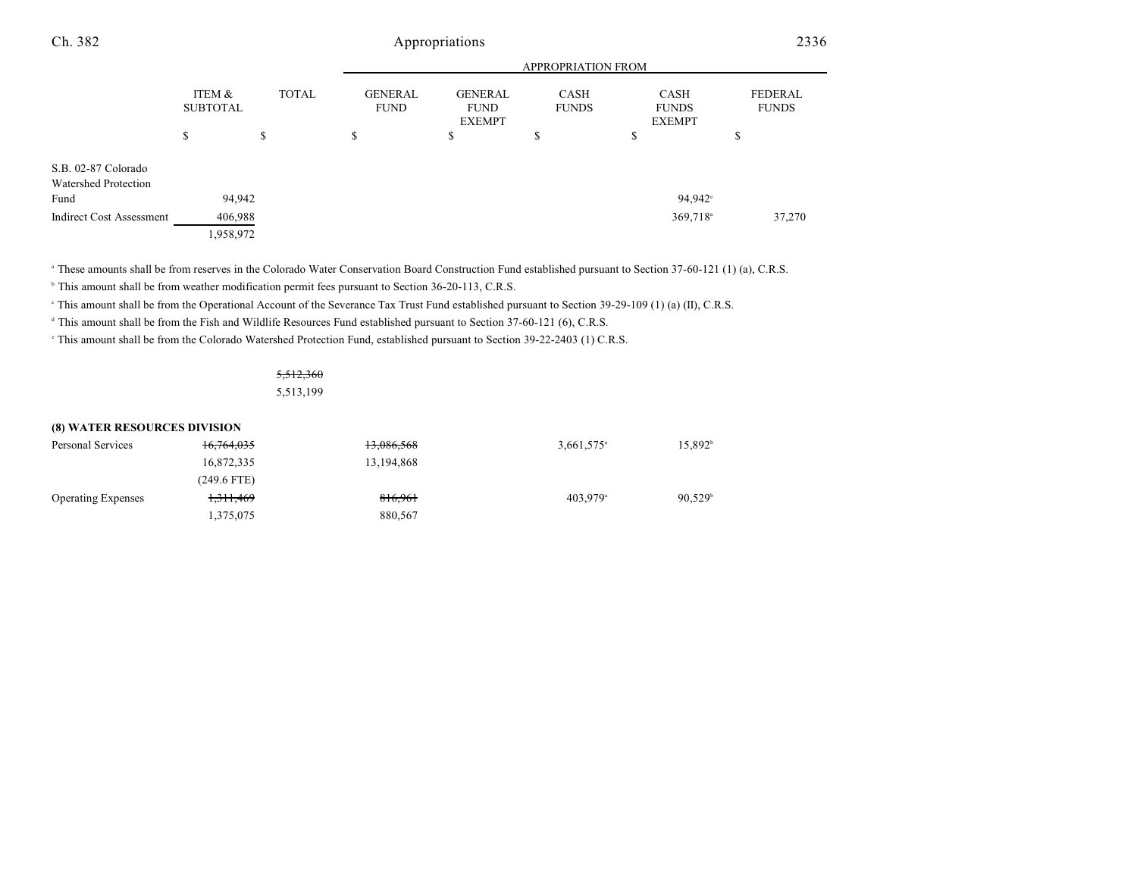| Ch. 382                                     | Appropriations<br><b>APPROPRIATION FROM</b> |              |                               |    |                      |                                       | 2336                           |  |
|---------------------------------------------|---------------------------------------------|--------------|-------------------------------|----|----------------------|---------------------------------------|--------------------------------|--|
|                                             |                                             |              |                               |    |                      |                                       |                                |  |
|                                             | ITEM &<br><b>SUBTOTAL</b>                   | <b>TOTAL</b> | <b>GENERAL</b><br><b>FUND</b> |    | CASH<br><b>FUNDS</b> | CASH<br><b>FUNDS</b><br><b>EXEMPT</b> | <b>FEDERAL</b><br><b>FUNDS</b> |  |
|                                             | S                                           | \$           | ъ                             | \$ | \$                   | \$                                    | ¢<br>Ф                         |  |
| S.B. 02-87 Colorado<br>Watershed Protection |                                             |              |                               |    |                      |                                       |                                |  |
| Fund                                        | 94,942                                      |              |                               |    |                      | 94,942 <sup>°</sup>                   |                                |  |
| <b>Indirect Cost Assessment</b>             | 406,988                                     |              |                               |    |                      | $369,718$ <sup>a</sup>                | 37,270                         |  |

1,958,972

<sup>a</sup> These amounts shall be from reserves in the Colorado Water Conservation Board Construction Fund established pursuant to Section 37-60-121 (1) (a), C.R.S.

<sup>b</sup> This amount shall be from weather modification permit fees pursuant to Section 36-20-113, C.R.S.

This amount shall be from the Operational Account of the Severance Tax Trust Fund established pursuant to Section 39-29-109 (1) (a) (II), C.R.S. <sup>c</sup>

<sup>d</sup> This amount shall be from the Fish and Wildlife Resources Fund established pursuant to Section 37-60-121 (6), C.R.S.

<sup>e</sup> This amount shall be from the Colorado Watershed Protection Fund, established pursuant to Section 39-22-2403 (1) C.R.S.

### 5,512,360 5,513,199

| <b>(8) WATER RESOURCES DIVISION</b> |                      |            |                          |                  |  |  |  |
|-------------------------------------|----------------------|------------|--------------------------|------------------|--|--|--|
| Personal Services                   | 16,764,035           | 13,086,568 | $3,661,575$ <sup>a</sup> | $15.892^{\circ}$ |  |  |  |
|                                     | 16,872,335           | 13,194,868 |                          |                  |  |  |  |
|                                     | $(249.6$ FTE)        |            |                          |                  |  |  |  |
| <b>Operating Expenses</b>           | <del>1,311,469</del> | 816,961    | $403.979$ <sup>a</sup>   | $90.529^{\circ}$ |  |  |  |
|                                     | 1,375,075            | 880,567    |                          |                  |  |  |  |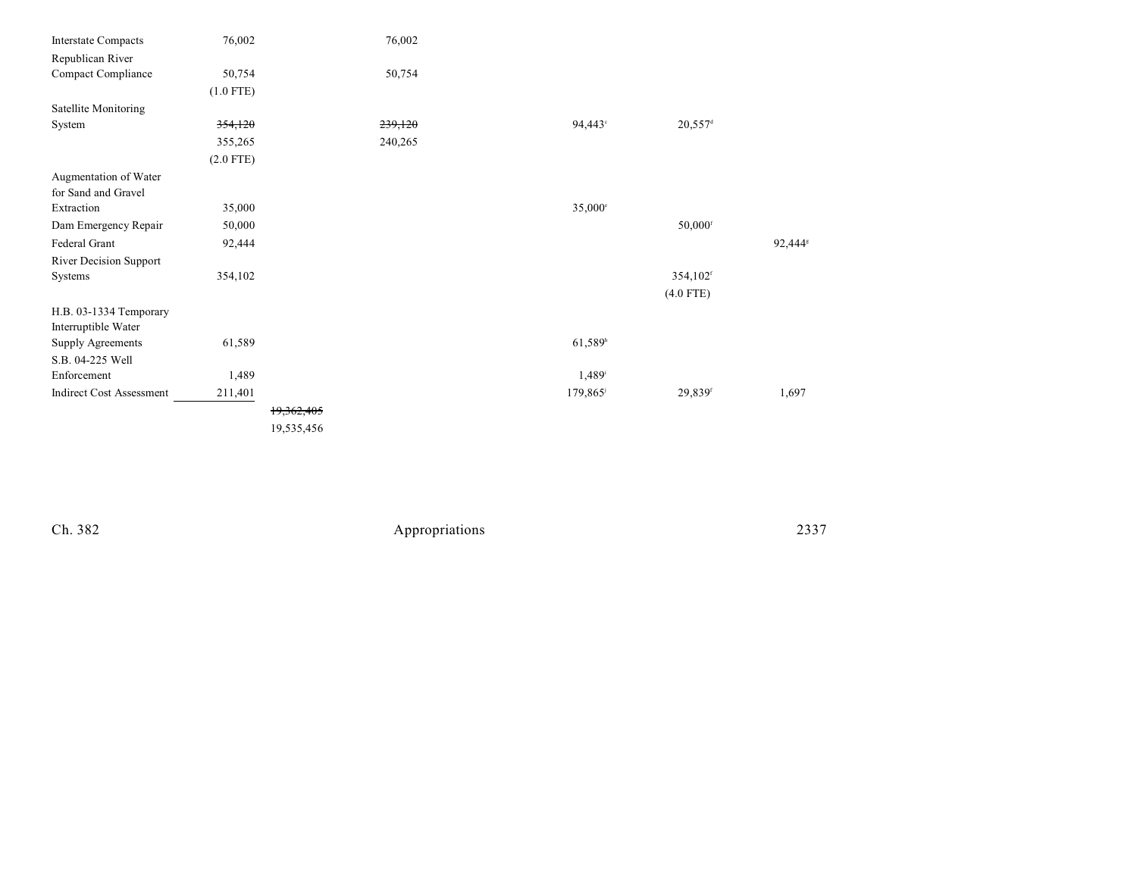| <b>Interstate Compacts</b>      | 76,002      |            | 76,002  |                       |                        |                     |
|---------------------------------|-------------|------------|---------|-----------------------|------------------------|---------------------|
| Republican River                |             |            |         |                       |                        |                     |
| Compact Compliance              | 50,754      |            | 50,754  |                       |                        |                     |
|                                 | $(1.0$ FTE) |            |         |                       |                        |                     |
| Satellite Monitoring            |             |            |         |                       |                        |                     |
| System                          | 354,120     |            | 239,120 | 94,443°               | $20,557$ <sup>d</sup>  |                     |
|                                 | 355,265     |            | 240,265 |                       |                        |                     |
|                                 | $(2.0$ FTE) |            |         |                       |                        |                     |
| Augmentation of Water           |             |            |         |                       |                        |                     |
| for Sand and Gravel             |             |            |         |                       |                        |                     |
| Extraction                      | 35,000      |            |         | $35,000^{\circ}$      |                        |                     |
| Dam Emergency Repair            | 50,000      |            |         |                       | $50,000$ <sup>f</sup>  |                     |
| Federal Grant                   | 92,444      |            |         |                       |                        | 92,444 <sup>s</sup> |
| River Decision Support          |             |            |         |                       |                        |                     |
| Systems                         | 354,102     |            |         |                       | $354,102$ <sup>f</sup> |                     |
|                                 |             |            |         |                       | $(4.0$ FTE)            |                     |
| H.B. 03-1334 Temporary          |             |            |         |                       |                        |                     |
| Interruptible Water             |             |            |         |                       |                        |                     |
| Supply Agreements               | 61,589      |            |         | $61,589$ <sup>h</sup> |                        |                     |
| S.B. 04-225 Well                |             |            |         |                       |                        |                     |
| Enforcement                     | 1,489       |            |         | 1,489 <sup>i</sup>    |                        |                     |
| <b>Indirect Cost Assessment</b> | 211,401     |            |         | 179,865               | 29,839f                | 1,697               |
|                                 |             | 19,362,405 |         |                       |                        |                     |
|                                 |             | 19,535,456 |         |                       |                        |                     |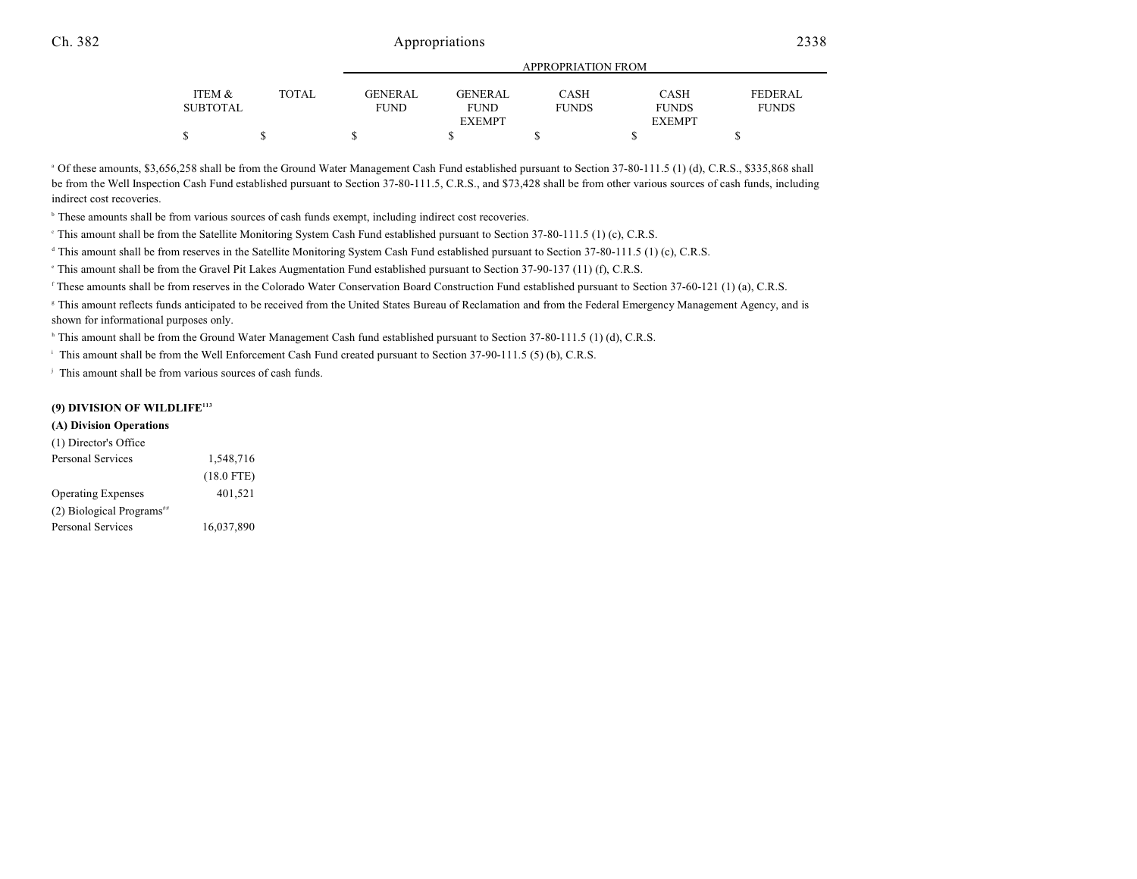|                 |              |             | APPROPRIATION FROM |              |               |                |  |  |
|-----------------|--------------|-------------|--------------------|--------------|---------------|----------------|--|--|
|                 |              |             |                    |              |               |                |  |  |
| ITEM &          | <b>TOTAL</b> | GENERAL     | GENERAL            | CASH         | <b>CASH</b>   | <b>FEDERAL</b> |  |  |
| <b>SUBTOTAL</b> |              | <b>FUND</b> | <b>FUND</b>        | <b>FUNDS</b> | <b>FUNDS</b>  | <b>FUNDS</b>   |  |  |
|                 |              |             | <b>EXEMPT</b>      |              | <b>EXEMPT</b> |                |  |  |
| \$              |              |             |                    |              |               |                |  |  |

<sup>a</sup> Of these amounts, \$3,656,258 shall be from the Ground Water Management Cash Fund established pursuant to Section 37-80-111.5 (1) (d), C.R.S., \$335,868 shall be from the Well Inspection Cash Fund established pursuant to Section 37-80-111.5, C.R.S., and \$73,428 shall be from other various sources of cash funds, including indirect cost recoveries.

<sup>b</sup> These amounts shall be from various sources of cash funds exempt, including indirect cost recoveries.

<sup>e</sup> This amount shall be from the Satellite Monitoring System Cash Fund established pursuant to Section 37-80-111.5 (1) (c), C.R.S.

<sup>d</sup> This amount shall be from reserves in the Satellite Monitoring System Cash Fund established pursuant to Section 37-80-111.5 (1) (c), C.R.S.

<sup>e</sup> This amount shall be from the Gravel Pit Lakes Augmentation Fund established pursuant to Section 37-90-137 (11) (f), C.R.S.

<sup>f</sup> These amounts shall be from reserves in the Colorado Water Conservation Board Construction Fund established pursuant to Section 37-60-121 (1) (a), C.R.S.

Khis amount reflects funds anticipated to be received from the United States Bureau of Reclamation and from the Federal Emergency Management Agency, and is shown for informational purposes only.

<sup>h</sup> This amount shall be from the Ground Water Management Cash fund established pursuant to Section 37-80-111.5 (1) (d), C.R.S.

<sup>1</sup> This amount shall be from the Well Enforcement Cash Fund created pursuant to Section 37-90-111.5 (5) (b), C.R.S.

<sup>j</sup> This amount shall be from various sources of cash funds.

#### **(9) DIVISION OF WILDLIFE<sup>113</sup>**

#### **(A) Division Operations**

| (1) Director's Office                 |              |  |  |
|---------------------------------------|--------------|--|--|
| <b>Personal Services</b>              | 1,548,716    |  |  |
|                                       | $(18.0$ FTE) |  |  |
| <b>Operating Expenses</b>             | 401,521      |  |  |
| (2) Biological Programs <sup>##</sup> |              |  |  |
| <b>Personal Services</b>              | 16,037,890   |  |  |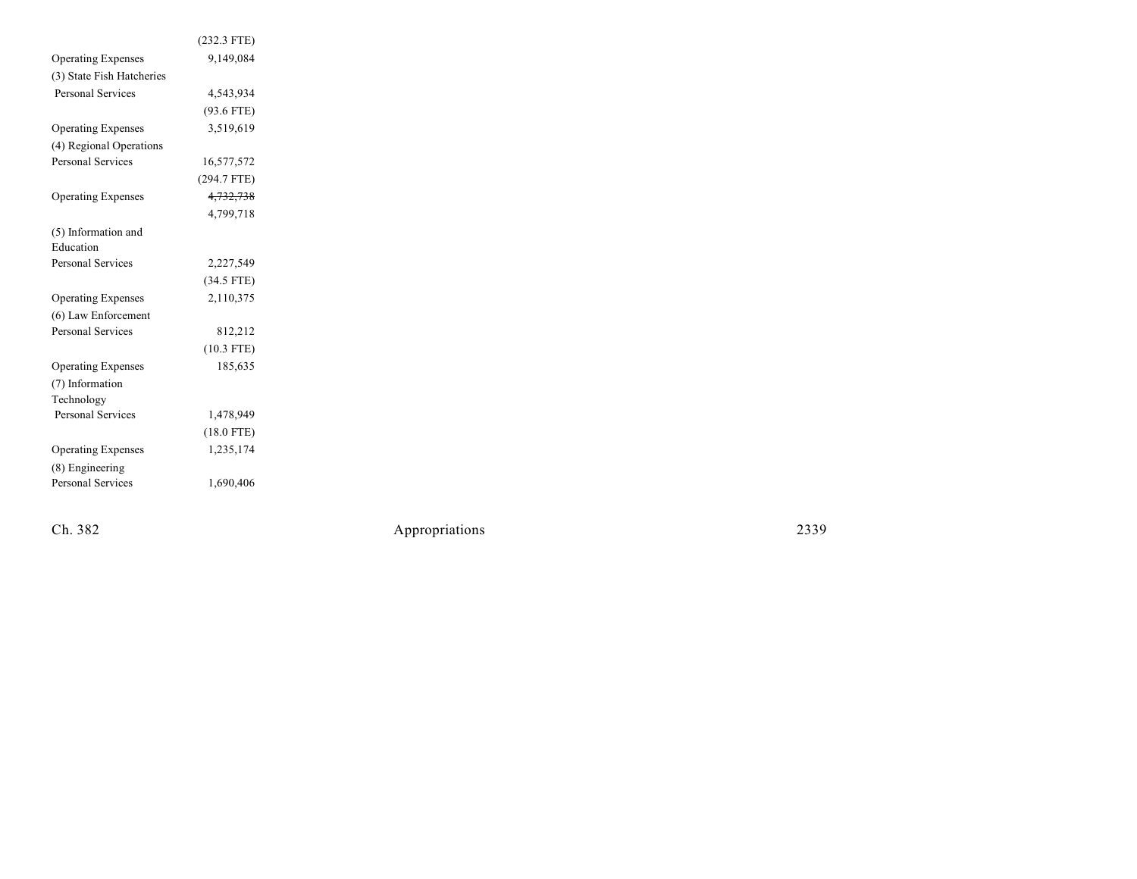|                           | $(232.3$ FTE) |  |
|---------------------------|---------------|--|
| <b>Operating Expenses</b> | 9,149,084     |  |
| (3) State Fish Hatcheries |               |  |
| Personal Services         | 4,543,934     |  |
|                           | $(93.6$ FTE)  |  |
| <b>Operating Expenses</b> | 3,519,619     |  |
| (4) Regional Operations   |               |  |
| <b>Personal Services</b>  | 16,577,572    |  |
|                           | $(294.7$ FTE) |  |
| <b>Operating Expenses</b> | 4,732,738     |  |
|                           | 4.799.718     |  |
| (5) Information and       |               |  |
| Education                 |               |  |
| <b>Personal Services</b>  | 2,227,549     |  |
|                           | $(34.5$ FTE)  |  |
| <b>Operating Expenses</b> | 2,110,375     |  |
| (6) Law Enforcement       |               |  |
| <b>Personal Services</b>  | 812,212       |  |
|                           | $(10.3$ FTE)  |  |
| <b>Operating Expenses</b> | 185,635       |  |
| (7) Information           |               |  |
| Technology                |               |  |
| Personal Services         | 1,478,949     |  |
|                           | $(18.0$ FTE)  |  |
| <b>Operating Expenses</b> | 1,235,174     |  |
| (8) Engineering           |               |  |
| <b>Personal Services</b>  | 1,690,406     |  |
|                           |               |  |

Ch. 382

Appropr iat

ions 2339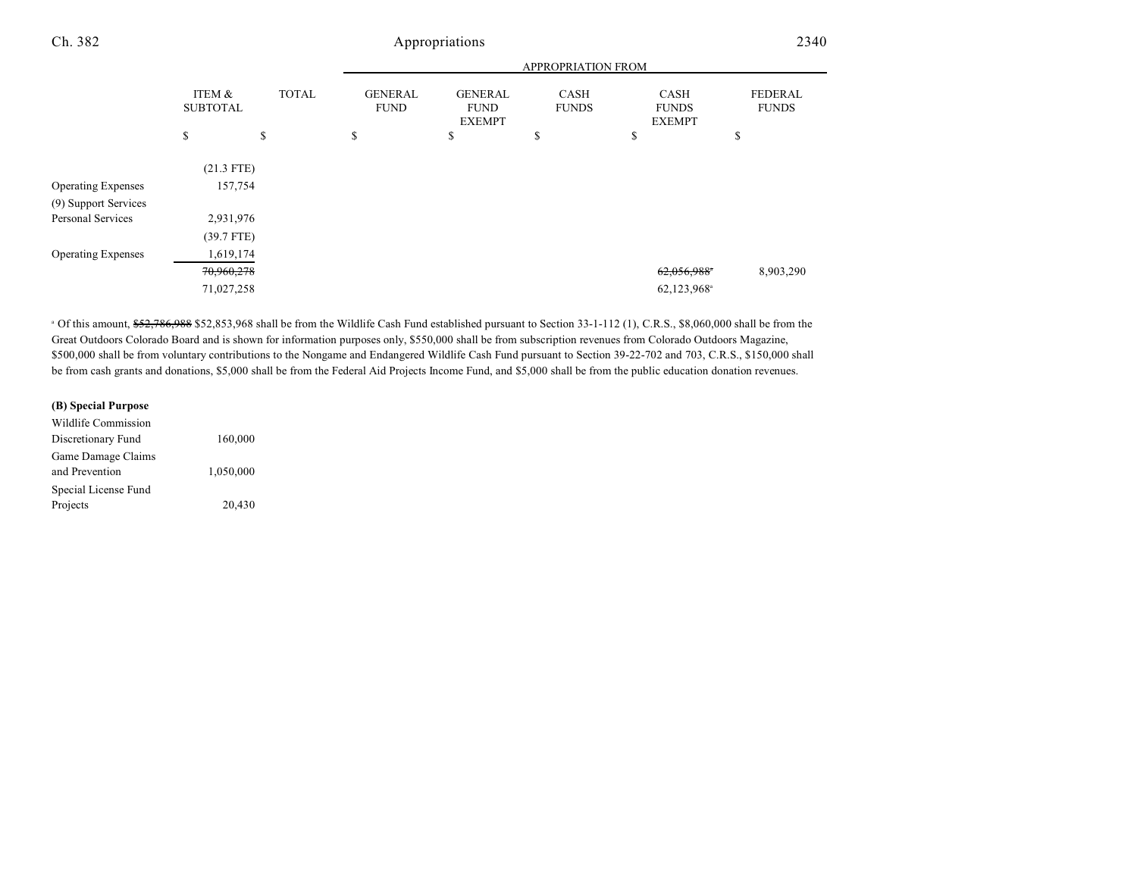# Appropriations 2340

|                           |                           |              | <b>APPROPRIATION FROM</b>     |                                                |                             |                                       |                                |
|---------------------------|---------------------------|--------------|-------------------------------|------------------------------------------------|-----------------------------|---------------------------------------|--------------------------------|
|                           | ITEM &<br><b>SUBTOTAL</b> | <b>TOTAL</b> | <b>GENERAL</b><br><b>FUND</b> | <b>GENERAL</b><br><b>FUND</b><br><b>EXEMPT</b> | <b>CASH</b><br><b>FUNDS</b> | CASH<br><b>FUNDS</b><br><b>EXEMPT</b> | <b>FEDERAL</b><br><b>FUNDS</b> |
|                           | \$                        | \$           | \$                            | \$                                             | \$                          | \$                                    | \$                             |
|                           | $(21.3$ FTE)              |              |                               |                                                |                             |                                       |                                |
| <b>Operating Expenses</b> | 157,754                   |              |                               |                                                |                             |                                       |                                |
| (9) Support Services      |                           |              |                               |                                                |                             |                                       |                                |
| <b>Personal Services</b>  |                           | 2,931,976    |                               |                                                |                             |                                       |                                |
|                           | $(39.7$ FTE)              |              |                               |                                                |                             |                                       |                                |
| <b>Operating Expenses</b> |                           | 1,619,174    |                               |                                                |                             |                                       |                                |
|                           | 70,960,278                |              |                               |                                                |                             | 62,056,988*                           | 8,903,290                      |
|                           | 71,027,258                |              |                               |                                                |                             | 62,123,968 <sup>a</sup>               |                                |
|                           |                           |              |                               |                                                |                             |                                       |                                |

<sup>a</sup> Of this amount, \$52,786,988 \$52,853,968 shall be from the Wildlife Cash Fund established pursuant to Section 33-1-112 (1), C.R.S., \$8,060,000 shall be from the Great Outdoors Colorado Board and is shown for information purposes only, \$550,000 shall be from subscription revenues from Colorado Outdoors Magazine, \$500,000 shall be from voluntary contributions to the Nongame and Endangered Wildlife Cash Fund pursuant to Section 39-22-702 and 703, C.R.S., \$150,000 shall be from cash grants and donations, \$5,000 shall be from the Federal Aid Projects Income Fund, and \$5,000 shall be from the public education donation revenues.

### **(B) Special Purpose** Wildlife Commission Discretionary Fund 160,000 Game Damage Claims and Prevention 1,050,000 Special License Fund Projects 20,430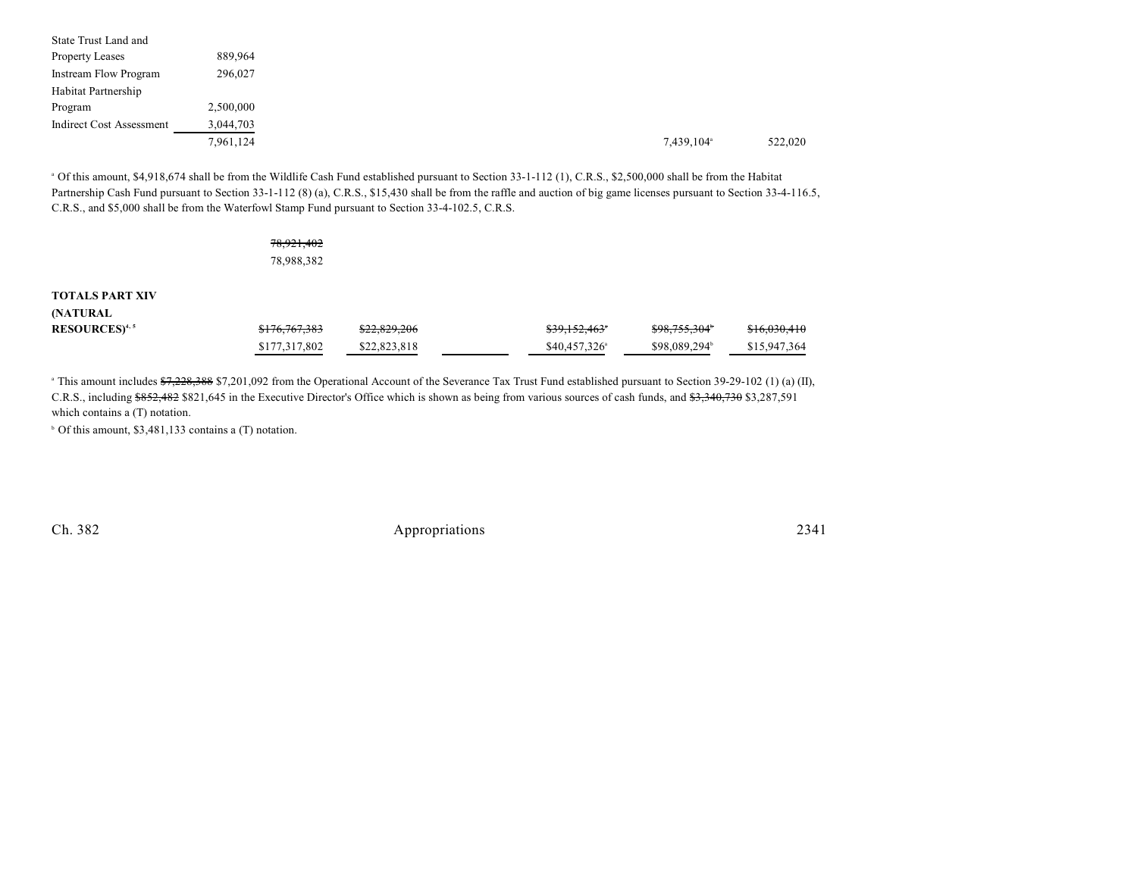| <b>State Trust Land and</b>  |           |
|------------------------------|-----------|
| <b>Property Leases</b>       | 889,964   |
| <b>Instream Flow Program</b> | 296,027   |
| Habitat Partnership          |           |
| Program                      | 2,500,000 |
| Indirect Cost Assessment     | 3,044,703 |
|                              | 7,961,124 |
|                              |           |

<sup>a</sup> Of this amount, \$4,918,674 shall be from the Wildlife Cash Fund established pursuant to Section 33-1-112 (1), C.R.S., \$2,500,000 shall be from the Habitat Partnership Cash Fund pursuant to Section 33-1-112 (8) (a), C.R.S., \$15,430 shall be from the raffle and auction of big game licenses pursuant to Section 33-4-116.5, C.R.S., and \$5,000 shall be from the Waterfowl Stamp Fund pursuant to Section 33-4-102.5, C.R.S.

|                                    | 78,921,402<br>78,988,382 |              |                       |                           |              |
|------------------------------------|--------------------------|--------------|-----------------------|---------------------------|--------------|
| <b>TOTALS PART XIV</b><br>(NATURAL |                          |              |                       |                           |              |
| RESOURCES <sup>4,5</sup>           | \$176,767,383            | \$22,829,206 | \$39,152,463*         | \$98,755,304 <sup>*</sup> | \$16,030,410 |
|                                    | \$177,317,802            | \$22,823,818 | $$40,457,326^{\circ}$ | \$98,089,294 <sup>b</sup> | \$15,947,364 |

<sup>a</sup> This amount includes  $\frac{228}{37228,388}$  \$7,201,092 from the Operational Account of the Severance Tax Trust Fund established pursuant to Section 39-29-102 (1) (a) (II), C.R.S., including \$852,482 \$821,645 in the Executive Director's Office which is shown as being from various sources of cash funds, and \$3,340,730 \$3,287,591 which contains a (T) notation.

 $\circ$  Of this amount, \$3,481,133 contains a (T) notation.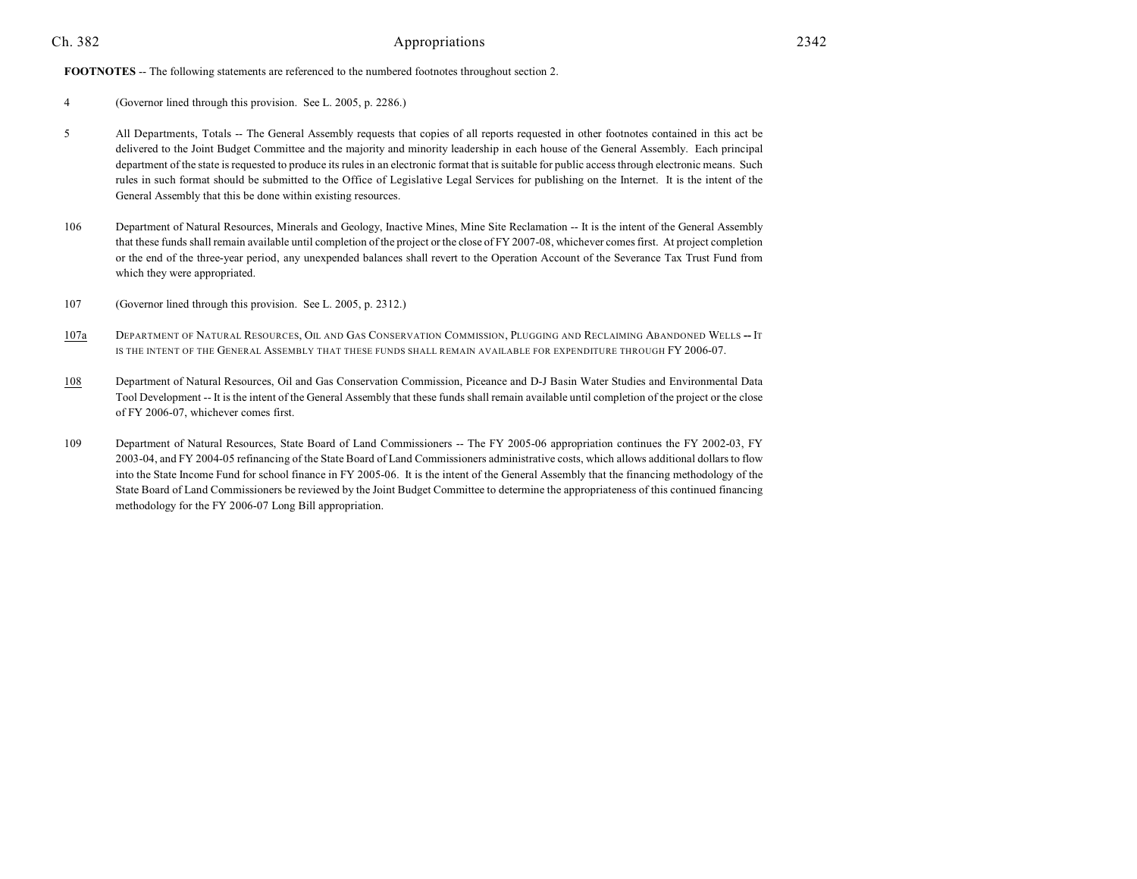**FOOTNOTES** -- The following statements are referenced to the numbered footnotes throughout section 2.

- 4 (Governor lined through this provision. See L. 2005, p. 2286.)
- 5 All Departments, Totals -- The General Assembly requests that copies of all reports requested in other footnotes contained in this act be delivered to the Joint Budget Committee and the majority and minority leadership in each house of the General Assembly. Each principal department of the state is requested to produce its rules in an electronic format that is suitable for public access through electronic means. Such rules in such format should be submitted to the Office of Legislative Legal Services for publishing on the Internet. It is the intent of the General Assembly that this be done within existing resources.
- 106 Department of Natural Resources, Minerals and Geology, Inactive Mines, Mine Site Reclamation -- It is the intent of the General Assembly that these funds shall remain available until completion of the project or the close of FY 2007-08, whichever comes first. At project completion or the end of the three-year period, any unexpended balances shall revert to the Operation Account of the Severance Tax Trust Fund from which they were appropriated.
- 107 (Governor lined through this provision. See L. 2005, p. 2312.)
- 107a DEPARTMENT OF NATURAL RESOURCES, OIL AND GAS CONSERVATION COMMISSION, PLUGGING AND RECLAIMING ABANDONED WELLS **--** IT IS THE INTENT OF THE GENERAL ASSEMBLY THAT THESE FUNDS SHALL REMAIN AVAILABLE FOR EXPENDITURE THROUGH FY 2006-07.
- 108 Department of Natural Resources, Oil and Gas Conservation Commission, Piceance and D-J Basin Water Studies and Environmental Data Tool Development -- It is the intent of the General Assembly that these funds shall remain available until completion of the project or the close of FY 2006-07, whichever comes first.
- 109 Department of Natural Resources, State Board of Land Commissioners -- The FY 2005-06 appropriation continues the FY 2002-03, FY 2003-04, and FY 2004-05 refinancing of the State Board of Land Commissioners administrative costs, which allows additional dollars to flow into the State Income Fund for school finance in FY 2005-06. It is the intent of the General Assembly that the financing methodology of the State Board of Land Commissioners be reviewed by the Joint Budget Committee to determine the appropriateness of this continued financing methodology for the FY 2006-07 Long Bill appropriation.